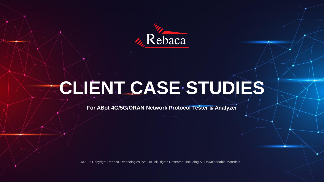

# **CLIENT CASE STUDIES**

**For ABot 4G/5G/ORAN Network Protocol Tester & Analyzer**

©2022 Copyright Rebaca Technologies Pvt. Ltd. All Rights Reserved. Including All Downloadable Materials.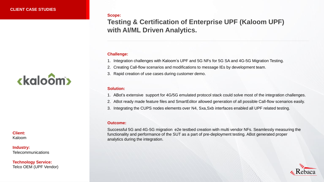#### **Scope:**

**Testing & Certification of Enterprise UPF (Kaloom UPF) with AI/ML Driven Analytics.** 

#### **Challenge:**

1. Integration challenges with Kaloom's UPF and 5G NFs for 5G SA and 4G-5G Migration Testing.

- 2. Creating Call-flow scenarios and modifications to message IEs by development team.
- 3. Rapid creation of use cases during customer demo.

#### **Solution:**

- 1. ABot's extensive support for 4G/5G emulated protocol stack could solve most of the integration challenges.
- 2. ABot ready made feature files and SmartEditor allowed generation of all possible Call-flow scenarios easily.
- 3. Integrating the CUPS nodes elements over N4, Sxa,Sxb interfaces enabled all UPF related testing.

#### **Outcome:**

Successful 5G and 4G-5G migration e2e testbed creation with multi vendor NFs. Seamlessly measuring the functionality and performance of the SUT as a part of pre-deployment testing. ABot generated proper analytics during the integration.



## ckaloom

**Client:**  Kaloom

#### **Industry: Telecommunications**

**Technology Service:**  Telco OEM (UPF Vendor)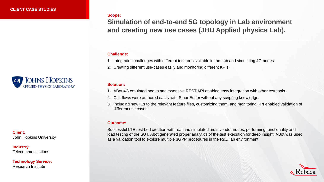#### **Scope:**

**Simulation of end-to-end 5G topology in Lab environment and creating new use cases (JHU Applied physics Lab).**

#### **Challenge:**

1. Integration challenges with different test tool available in the Lab and simulating 4G nodes.

2. Creating different use-cases easily and monitoring different KPIs.

#### **Solution:**

1. ABot 4G emulated nodes and extensive REST API enabled easy integration with other test tools.

- 2. Call-flows were authored easily with SmartEditor without any scripting knowledge.
- 3. Including new IEs to the relevant feature files, customizing them, and monitoring KPI enabled validation of different use cases.

#### **Outcome:**

Successful LTE test bed creation with real and simulated multi vendor nodes, performing functionality and load testing of the SUT. Abot generated proper analytics of the test execution for deep insight. ABot was used as a validation tool to explore multiple 3GPP procedures in the R&D lab environment.



**Client:**  John Hopkins University

**JOHNS HOPKINS APPLIED PHYSICS LABORATORY** 

**Industry: Telecommunications** 

**Technology Service:**  Research Institute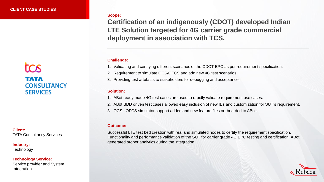## **TCS** тлтл **CONSULTANCY SERVICES**

**Client:**  TATA Consultancy Services

**Industry: Technology** 

**Technology Service:**  Service provider and System Integration

#### **Scope:**

**Certification of an indigenously (CDOT) developed Indian LTE Solution targeted for 4G carrier grade commercial deployment in association with TCS.**

#### **Challenge:**

- 1. Validating and certifying different scenarios of the CDOT EPC as per requirement specification.
- 2. Requirement to simulate OCS/OFCS and add new 4G test scenarios.
- 3. Providing test artefacts to stakeholders for debugging and acceptance.

#### **Solution:**

- 1. ABot ready made 4G test cases are used to rapidly validate requirement use cases.
- 2. ABot BDD driven test cases allowed easy inclusion of new IEs and customization for SUT's requirement.
- 3. OCS , OFCS simulator support added and new feature files on-boarded to ABot.

#### **Outcome:**

Successful LTE test bed creation with real and simulated nodes to certify the requirement specification. Functionality and performance validation of the SUT for carrier grade 4G EPC testing and certification. ABot generated proper analytics during the integration.

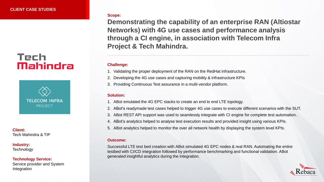## Tech Mahindra



**Client:**  Tech Mahindra & TIP

#### **Industry: Technology**

#### **Technology Service:**

Service provider and System Integration

#### **Scope:**

**Demonstrating the capability of an enterprise RAN (Altiostar Networks) with 4G use cases and performance analysis through a CI engine, in association with Telecom Infra Project & Tech Mahindra.**

#### **Challenge:**

- 1. Validating the proper deployment of the RAN on the RedHat infrastructure.
- 2. Developing the 4G use cases and capturing mobility & infrastructure KPIs
- 3. Providing Continuous Test assurance in a multi-vendor platform.

#### **Solution:**

- 1. ABot emulated the 4G EPC stacks to create an end to end LTE topology.
- 2. ABot's readymade test cases helped to trigger 4G use cases to execute different scenarios with the SUT.
- 3. ABot REST API support was used to seamlessly integrate with CI engine for complete test automation..
- 4. ABot's analytics helped to analyse test execution results and provided insight using various KPIs.
- 5. ABot analytics helped to monitor the over all network health by displaying the system level KPIs.

#### **Outcome:**

Successful LTE test bed creation with ABot simulated 4G EPC nodes & real RAN. Automating the entire testbed with CI/CD integration followed by performance benchmarking and functional validation. ABot generated insightful analytics during the integration.

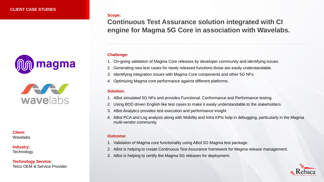



**Client:**  Wavelabs

### **Industry:**

**Technology** 

**Technology Service:**  Telco OEM & Service Provider **Scope:**

**Continuous Test Assurance solution integrated with CI engine for Magma 5G Core in association with Wavelabs.**

#### **Challenge:**

1. On-going validation of Magma Core releases by developer community and identifying issues.

- 2. Generating new test cases for newly released functions those are easily understandable.
- 3. Identifying integration issues with Magma Core components and other 5G NFs.
- 4. Optimizing Magma core performance against different platforms.

#### **Solution:**

- 1. ABot simulated 5G NFs and provides Functional, Conformance and Performance testing.
- 2. Using BDD driven English like test cases to make it easily understandable to the stakeholders.
- 3. ABot Analytics provides test execution and performance insight
- 4. ABot PCA and Log analysis along with Mobility and Infra KPIs help in debugging, particularly in the Magma multi-vendor community.

- 1. Validation of Magma core functionality using ABot 5G Magma test package.
- 2. ABot is helping to create Continuous Test Assurance framework for Magma release management.
- 3. ABot is helping to certify the Magma 5G releases for deployment.

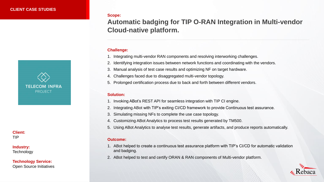

**Client:**  TIP

**Industry: Technology** 

**Technology Service:**  Open Source Initiatives **Scope:**

## **Automatic badging for TIP O-RAN Integration in Multi-vendor Cloud-native platform.**

#### **Challenge:**

- 1. Integrating multi-vendor RAN components and resolving interworking challenges.
- 2. Identifying integration issues between network functions and coordinating with the vendors.
- 3. Manual analysis of test case results and optimizing NF on target hardware.
- 4. Challenges faced due to disaggregated multi-vendor topology.
- 5. Prolonged certification process due to back and forth between different vendors.

#### **Solution:**

- 1. Invoking ABot's REST API for seamless integration with TIP CI engine.
- 2. Integrating ABot with TIP's exiting CI/CD framework to provide Continuous test assurance.
- 3. Simulating missing NFs to complete the use case topology.
- 4. Customizing ABot Analytics to process test results generated by TM500.
- 5. Using ABot Analytics to analyse test results, generate artifacts, and produce reports automatically.

- 1. ABot helped to create a continuous test assurance platform with TIP's CI/CD for automatic validation and badging.
- 2. ABot helped to test and certify ORAN & RAN components of Multi-vendor platform.

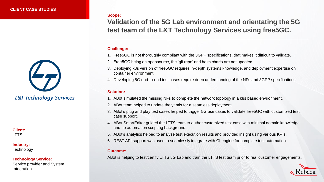

**Client: LTTS** 

**Industry: Technology** 

**Technology Service:** 

Service provider and System Integration

**Scope:**

**Validation of the 5G Lab environment and orientating the 5G test team of the L&T Technology Services using free5GC.**

#### **Challenge:**

- 1. Free5GC is not thoroughly compliant with the 3GPP specifications, that makes it difficult to validate.
- 2. Free5GC being an opensource, the 'git repo' and helm charts are not updated.
- 3. Deploying k8s version of free5GC requires in-depth systems knowledge, and deployment expertise on container environment.
- 4. Developing 5G end-to-end test cases require deep understanding of the NFs and 3GPP specifications.

#### **Solution:**

- 1. ABot simulated the missing NFs to complete the network topology in a k8s based environment.
- 2. ABot team helped to update the yamls for a seamless deployment.
- 3. ABot's plug and play test cases helped to trigger 5G use cases to validate free5GC with customized test case support.
- 4. ABot SmartEditor guided the LTTS team to author customized test case with minimal domain knowledge and no automation scripting background.
- 5. ABot's analytics helped to analyse test execution results and provided insight using various KPIs.
- 6. REST API support was used to seamlessly integrate with CI engine for complete test automation.

#### **Outcome:**

ABot is helping to test/certify LTTS 5G Lab and train the LTTS test team prior to real customer engagements.

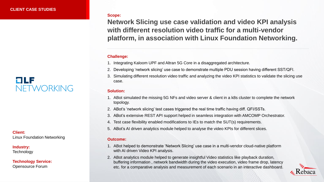## CILE NETWORKING

**Client:**  Linux Foundation Networking

**Industry:** 

**Technology** 

**Technology Service:**  Opensource Forum

#### **Scope:**

**Network Slicing use case validation and video KPI analysis with different resolution video traffic for a multi-vendor platform, in association with Linux Foundation Networking.**

#### **Challenge:**

- 1. Integrating Kaloom UPF and Altran 5G Core in a disaggregated architecture.
- 2. Developing 'network slicing' use case to demonstrate multiple PDU session having different SST/QFI.
- 3. Simulating different resolution video traffic and analyzing the video KPI statistics to validate the slicing use case.

#### **Solution:**

- 1. ABot simulated the missing 5G NFs and video server & client in a k8s cluster to complete the network topology.
- 2. ABot's 'network slicing' test cases triggered the real time traffic having diff. QFI/SSTs.
- 3. ABot's extensive REST API support helped in seamless integration with AMCOMP Orchestrator.
- 4. Test case flexibility enabled modifications to IEs to match the SUT(s) requirements.
- 5. ABot's AI driven analytics module helped to analyse the video KPIs for different slices.

- 1. ABot helped to demonstrate 'Network Slicing' use case in a multi-vendor cloud-native platform with AI driven Video KPI analysis.
- 2. ABot analytics module helped to generate insightful Video statistics like playback duration, buffering information , network bandwidth during the video execution, video frame drop, latency etc. for a comparative analysis and measurement of each scenario in an interactive dashboard.

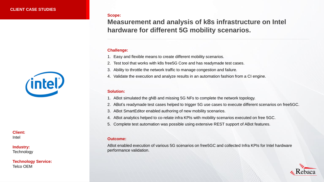

**Client:**  Intel

#### **Industry: Technology**

**Technology Service:**  Telco OEM

**Scope:**

**Measurement and analysis of k8s infrastructure on Intel hardware for different 5G mobility scenarios.**

#### **Challenge:**

- 1. Easy and flexible means to create different mobility scenarios.
- 2. Test tool that works with k8s free5G Core and has readymade test cases.
- 3. Ability to throttle the network traffic to manage congestion and failure.
- 4. Validate the execution and analyze results in an automation fashion from a CI engine.

#### **Solution:**

- 1. ABot simulated the gNB and missing 5G NFs to complete the network topology.
- 2. ABot's readymade test cases helped to trigger 5G use cases to execute different scenarios on free5GC.
- 3. ABot SmartEditor enabled authoring of new mobility scenarios.
- 4. ABot analytics helped to co-relate infra KPIs with mobility scenarios executed on free 5GC.
- 5. Complete test automation was possible using extensive REST support of ABot features.

#### **Outcome:**

ABot enabled execution of various 5G scenarios on free5GC and collected Infra KPIs for Intel hardware performance validation.